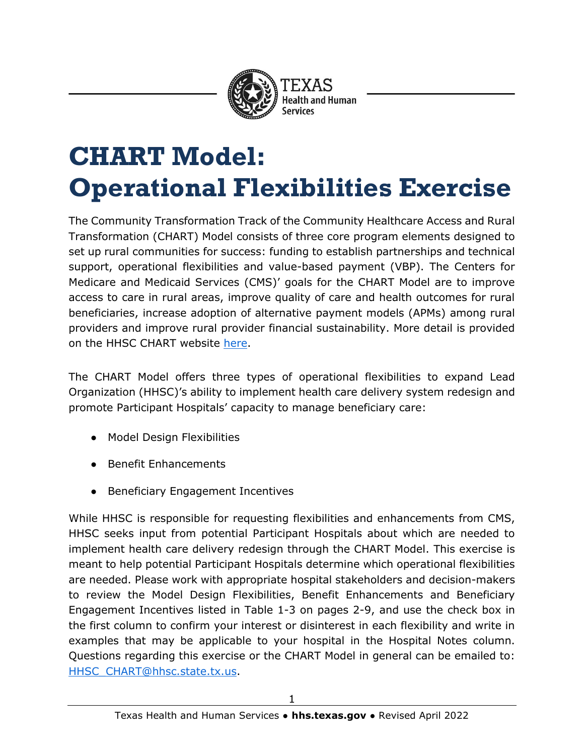

# **CHART Model: Operational Flexibilities Exercise**

The Community Transformation Track of the Community Healthcare Access and Rural Transformation (CHART) Model consists of three core program elements designed to set up rural communities for success: funding to establish partnerships and technical support, operational flexibilities and value-based payment (VBP). The Centers for Medicare and Medicaid Services (CMS)' goals for the CHART Model are to improve access to care in rural areas, improve quality of care and health outcomes for rural beneficiaries, increase adoption of alternative payment models (APMs) among rural providers and improve rural provider financial sustainability. More detail is provided on the HHSC CHART website [here.](https://www.hhs.texas.gov/providers/medicaid-supplemental-payment-directed-payment-programs/rural-hospital-grant-facilitation/chart-model-community-transformation-track-texas)

The CHART Model offers three types of operational flexibilities to expand Lead Organization (HHSC)'s ability to implement health care delivery system redesign and promote Participant Hospitals' capacity to manage beneficiary care:

- **Model Design Flexibilities**
- **Benefit Enhancements**
- Beneficiary Engagement Incentives

While HHSC is responsible for requesting flexibilities and enhancements from CMS, HHSC seeks input from potential Participant Hospitals about which are needed to implement health care delivery redesign through the CHART Model. This exercise is meant to help potential Participant Hospitals determine which operational flexibilities are needed. Please work with appropriate hospital stakeholders and decision-makers to review the Model Design Flexibilities, Benefit Enhancements and Beneficiary Engagement Incentives listed in Table 1-3 on pages 2-9, and use the check box in the first column to confirm your interest or disinterest in each flexibility and write in examples that may be applicable to your hospital in the Hospital Notes column. Questions regarding this exercise or the CHART Model in general can be emailed to: [HHSC\\_CHART@hhsc.state.tx.us.](mailto:HHSC_CHART@hhsc.state.tx.us)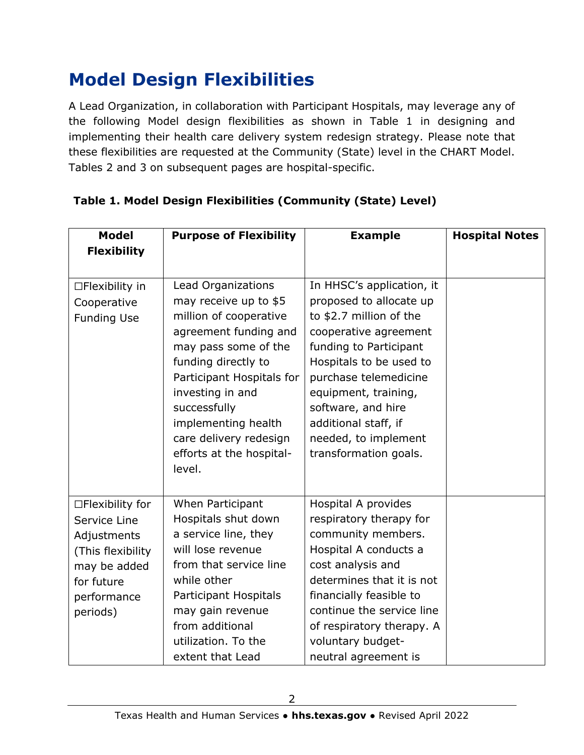# **Model Design Flexibilities**

A Lead Organization, in collaboration with Participant Hospitals, may leverage any of the following Model design flexibilities as shown in Table 1 in designing and implementing their health care delivery system redesign strategy. Please note that these flexibilities are requested at the Community (State) level in the CHART Model. Tables 2 and 3 on subsequent pages are hospital-specific.

| <b>Model</b>                                                                                                                  | <b>Purpose of Flexibility</b>                                                                                                                                                                                                                                                                         | <b>Example</b>                                                                                                                                                                                                                                                                                                | <b>Hospital Notes</b> |
|-------------------------------------------------------------------------------------------------------------------------------|-------------------------------------------------------------------------------------------------------------------------------------------------------------------------------------------------------------------------------------------------------------------------------------------------------|---------------------------------------------------------------------------------------------------------------------------------------------------------------------------------------------------------------------------------------------------------------------------------------------------------------|-----------------------|
| <b>Flexibility</b>                                                                                                            |                                                                                                                                                                                                                                                                                                       |                                                                                                                                                                                                                                                                                                               |                       |
| $\Box$ Flexibility in<br>Cooperative<br><b>Funding Use</b>                                                                    | Lead Organizations<br>may receive up to \$5<br>million of cooperative<br>agreement funding and<br>may pass some of the<br>funding directly to<br>Participant Hospitals for<br>investing in and<br>successfully<br>implementing health<br>care delivery redesign<br>efforts at the hospital-<br>level. | In HHSC's application, it<br>proposed to allocate up<br>to \$2.7 million of the<br>cooperative agreement<br>funding to Participant<br>Hospitals to be used to<br>purchase telemedicine<br>equipment, training,<br>software, and hire<br>additional staff, if<br>needed, to implement<br>transformation goals. |                       |
| □Flexibility for<br>Service Line<br>Adjustments<br>(This flexibility<br>may be added<br>for future<br>performance<br>periods) | When Participant<br>Hospitals shut down<br>a service line, they<br>will lose revenue<br>from that service line<br>while other<br>Participant Hospitals<br>may gain revenue<br>from additional<br>utilization. To the<br>extent that Lead                                                              | Hospital A provides<br>respiratory therapy for<br>community members.<br>Hospital A conducts a<br>cost analysis and<br>determines that it is not<br>financially feasible to<br>continue the service line<br>of respiratory therapy. A<br>voluntary budget-<br>neutral agreement is                             |                       |

#### **Table 1. Model Design Flexibilities (Community (State) Level)**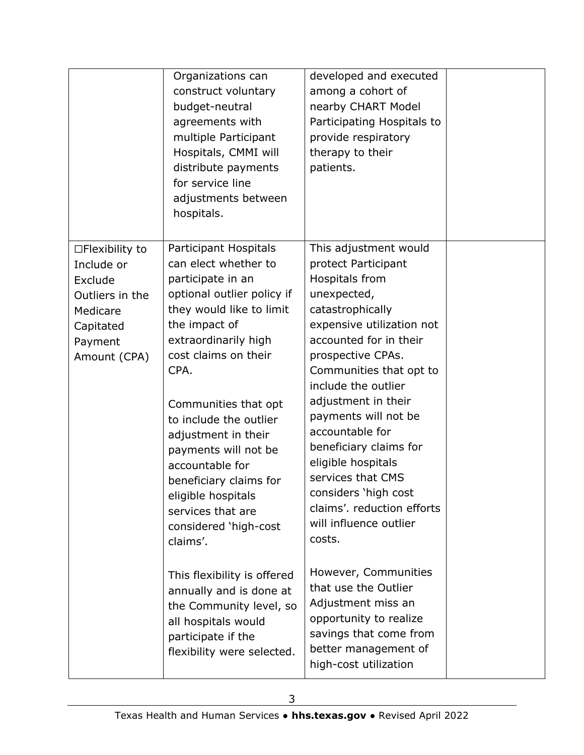|                                                                                                                       | Organizations can<br>construct voluntary<br>budget-neutral<br>agreements with<br>multiple Participant<br>Hospitals, CMMI will<br>distribute payments<br>for service line<br>adjustments between<br>hospitals.                                                                                                                                                                                                                       | developed and executed<br>among a cohort of<br>nearby CHART Model<br>Participating Hospitals to<br>provide respiratory<br>therapy to their<br>patients.                                                                                                                                                                                                                                                                                                          |  |
|-----------------------------------------------------------------------------------------------------------------------|-------------------------------------------------------------------------------------------------------------------------------------------------------------------------------------------------------------------------------------------------------------------------------------------------------------------------------------------------------------------------------------------------------------------------------------|------------------------------------------------------------------------------------------------------------------------------------------------------------------------------------------------------------------------------------------------------------------------------------------------------------------------------------------------------------------------------------------------------------------------------------------------------------------|--|
| $\Box$ Flexibility to<br>Include or<br>Exclude<br>Outliers in the<br>Medicare<br>Capitated<br>Payment<br>Amount (CPA) | Participant Hospitals<br>can elect whether to<br>participate in an<br>optional outlier policy if<br>they would like to limit<br>the impact of<br>extraordinarily high<br>cost claims on their<br>CPA.<br>Communities that opt<br>to include the outlier<br>adjustment in their<br>payments will not be<br>accountable for<br>beneficiary claims for<br>eligible hospitals<br>services that are<br>considered 'high-cost<br>claims'. | This adjustment would<br>protect Participant<br>Hospitals from<br>unexpected,<br>catastrophically<br>expensive utilization not<br>accounted for in their<br>prospective CPAs.<br>Communities that opt to<br>include the outlier<br>adjustment in their<br>payments will not be<br>accountable for<br>beneficiary claims for<br>eligible hospitals<br>services that CMS<br>considers 'high cost<br>claims', reduction efforts<br>will influence outlier<br>costs. |  |
|                                                                                                                       | This flexibility is offered<br>annually and is done at<br>the Community level, so<br>all hospitals would<br>participate if the<br>flexibility were selected.                                                                                                                                                                                                                                                                        | However, Communities<br>that use the Outlier<br>Adjustment miss an<br>opportunity to realize<br>savings that come from<br>better management of<br>high-cost utilization                                                                                                                                                                                                                                                                                          |  |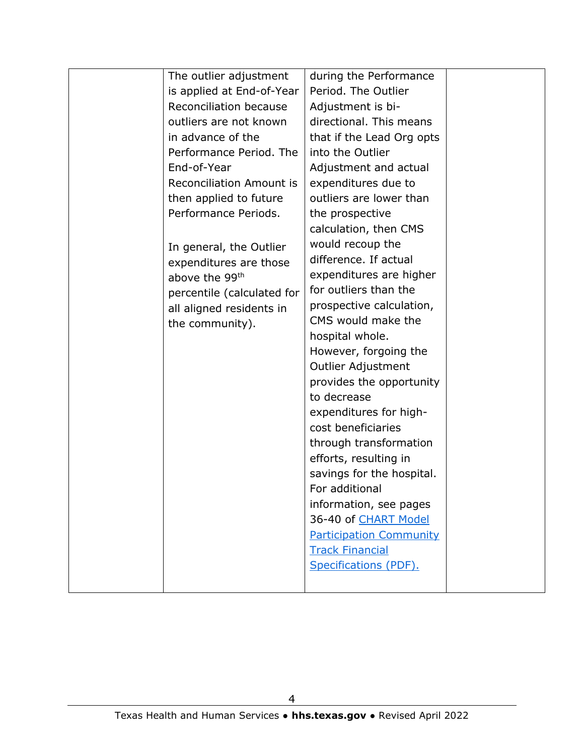| The outlier adjustment          | during the Performance         |  |
|---------------------------------|--------------------------------|--|
| is applied at End-of-Year       | Period. The Outlier            |  |
| Reconciliation because          | Adjustment is bi-              |  |
| outliers are not known          | directional. This means        |  |
| in advance of the               | that if the Lead Org opts      |  |
| Performance Period. The         | into the Outlier               |  |
| End-of-Year                     | Adjustment and actual          |  |
| <b>Reconciliation Amount is</b> | expenditures due to            |  |
| then applied to future          | outliers are lower than        |  |
| Performance Periods.            | the prospective                |  |
|                                 | calculation, then CMS          |  |
| In general, the Outlier         | would recoup the               |  |
| expenditures are those          | difference. If actual          |  |
| above the 99 <sup>th</sup>      | expenditures are higher        |  |
| percentile (calculated for      | for outliers than the          |  |
| all aligned residents in        | prospective calculation,       |  |
| the community).                 | CMS would make the             |  |
|                                 | hospital whole.                |  |
|                                 | However, forgoing the          |  |
|                                 | Outlier Adjustment             |  |
|                                 | provides the opportunity       |  |
|                                 | to decrease                    |  |
|                                 | expenditures for high-         |  |
|                                 | cost beneficiaries             |  |
|                                 | through transformation         |  |
|                                 | efforts, resulting in          |  |
|                                 | savings for the hospital.      |  |
|                                 | For additional                 |  |
|                                 | information, see pages         |  |
|                                 | 36-40 of CHART Model           |  |
|                                 | <b>Participation Community</b> |  |
|                                 | <b>Track Financial</b>         |  |
|                                 | Specifications (PDF).          |  |
|                                 |                                |  |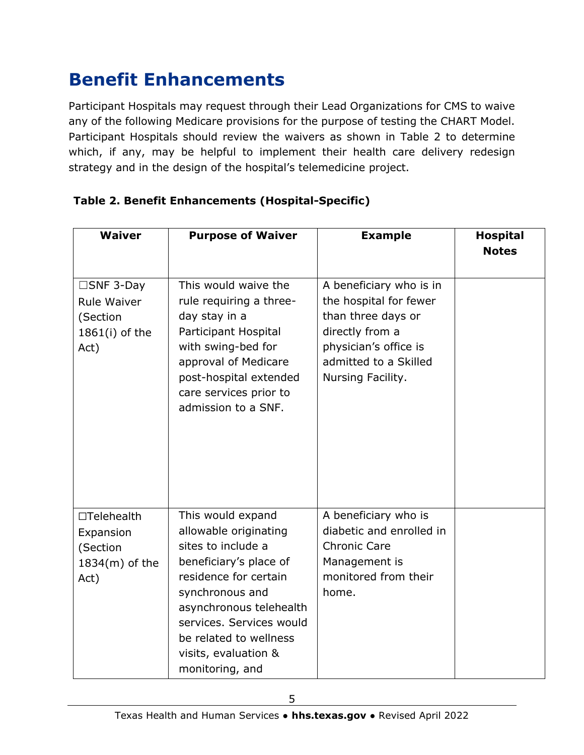# **Benefit Enhancements**

Participant Hospitals may request through their Lead Organizations for CMS to waive any of the following Medicare provisions for the purpose of testing the CHART Model. Participant Hospitals should review the waivers as shown in Table 2 to determine which, if any, may be helpful to implement their health care delivery redesign strategy and in the design of the hospital's telemedicine project.

| <b>Waiver</b>                                                            | <b>Purpose of Waiver</b>                                                                                                                                                                                                                                           | <b>Example</b>                                                                                                                                                    | <b>Hospital</b><br><b>Notes</b> |
|--------------------------------------------------------------------------|--------------------------------------------------------------------------------------------------------------------------------------------------------------------------------------------------------------------------------------------------------------------|-------------------------------------------------------------------------------------------------------------------------------------------------------------------|---------------------------------|
| $\square$ SNF 3-Day<br>Rule Waiver<br>(Section<br>1861(i) of the<br>Act) | This would waive the<br>rule requiring a three-<br>day stay in a<br>Participant Hospital<br>with swing-bed for<br>approval of Medicare<br>post-hospital extended<br>care services prior to<br>admission to a SNF.                                                  | A beneficiary who is in<br>the hospital for fewer<br>than three days or<br>directly from a<br>physician's office is<br>admitted to a Skilled<br>Nursing Facility. |                                 |
| □Telehealth<br>Expansion<br>(Section<br>1834(m) of the<br>Act)           | This would expand<br>allowable originating<br>sites to include a<br>beneficiary's place of<br>residence for certain<br>synchronous and<br>asynchronous telehealth<br>services. Services would<br>be related to wellness<br>visits, evaluation &<br>monitoring, and | A beneficiary who is<br>diabetic and enrolled in<br><b>Chronic Care</b><br>Management is<br>monitored from their<br>home.                                         |                                 |

#### **Table 2. Benefit Enhancements (Hospital-Specific)**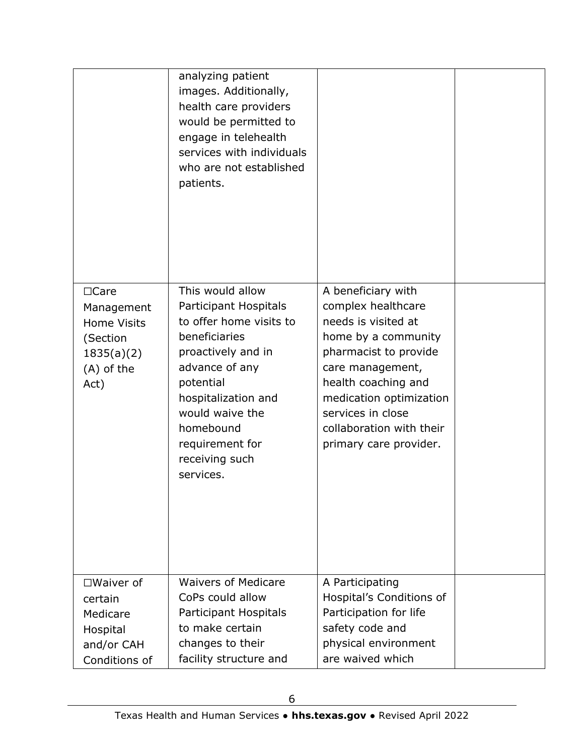| analyzing patient<br>images. Additionally,<br>health care providers<br>would be permitted to<br>engage in telehealth<br>services with individuals<br>who are not established<br>patients.                                                           |                                                                                                                                                                                                                                                                  |                  |
|-----------------------------------------------------------------------------------------------------------------------------------------------------------------------------------------------------------------------------------------------------|------------------------------------------------------------------------------------------------------------------------------------------------------------------------------------------------------------------------------------------------------------------|------------------|
| This would allow<br>Participant Hospitals<br>to offer home visits to<br>beneficiaries<br>proactively and in<br>advance of any<br>potential<br>hospitalization and<br>would waive the<br>homebound<br>requirement for<br>receiving such<br>services. | A beneficiary with<br>complex healthcare<br>needs is visited at<br>home by a community<br>pharmacist to provide<br>care management,<br>health coaching and<br>medication optimization<br>services in close<br>collaboration with their<br>primary care provider. |                  |
| <b>Waivers of Medicare</b><br>CoPs could allow<br>Participant Hospitals<br>to make certain<br>changes to their                                                                                                                                      | A Participating<br>Hospital's Conditions of<br>Participation for life<br>safety code and<br>physical environment                                                                                                                                                 |                  |
|                                                                                                                                                                                                                                                     | facility structure and                                                                                                                                                                                                                                           | are waived which |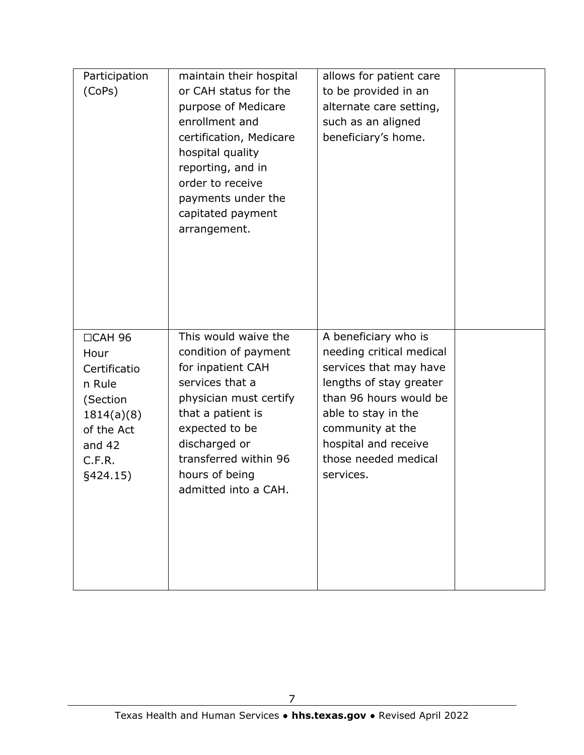| Participation<br>(CoPs)                                                                                                   | maintain their hospital<br>or CAH status for the<br>purpose of Medicare<br>enrollment and<br>certification, Medicare<br>hospital quality<br>reporting, and in<br>order to receive<br>payments under the<br>capitated payment<br>arrangement. | allows for patient care<br>to be provided in an<br>alternate care setting,<br>such as an aligned<br>beneficiary's home.                                                                                                                 |  |
|---------------------------------------------------------------------------------------------------------------------------|----------------------------------------------------------------------------------------------------------------------------------------------------------------------------------------------------------------------------------------------|-----------------------------------------------------------------------------------------------------------------------------------------------------------------------------------------------------------------------------------------|--|
| $\Box$ CAH 96<br>Hour<br>Certificatio<br>n Rule<br>(Section<br>1814(a)(8)<br>of the Act<br>and $42$<br>C.F.R.<br>§424.15) | This would waive the<br>condition of payment<br>for inpatient CAH<br>services that a<br>physician must certify<br>that a patient is<br>expected to be<br>discharged or<br>transferred within 96<br>hours of being<br>admitted into a CAH.    | A beneficiary who is<br>needing critical medical<br>services that may have<br>lengths of stay greater<br>than 96 hours would be<br>able to stay in the<br>community at the<br>hospital and receive<br>those needed medical<br>services. |  |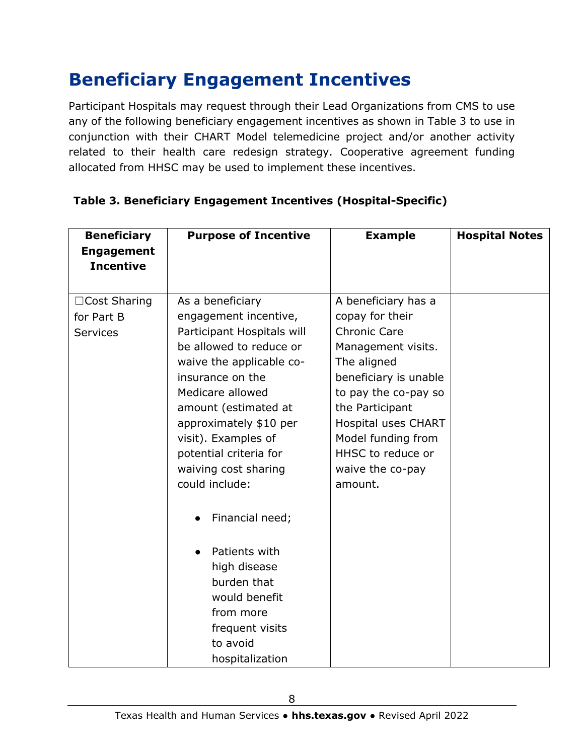### **Beneficiary Engagement Incentives**

Participant Hospitals may request through their Lead Organizations from CMS to use any of the following beneficiary engagement incentives as shown in Table 3 to use in conjunction with their CHART Model telemedicine project and/or another activity related to their health care redesign strategy. Cooperative agreement funding allocated from HHSC may be used to implement these incentives.

| <b>Beneficiary</b><br><b>Engagement</b> | <b>Purpose of Incentive</b>          | <b>Example</b>                          | <b>Hospital Notes</b> |
|-----------------------------------------|--------------------------------------|-----------------------------------------|-----------------------|
| <b>Incentive</b>                        |                                      |                                         |                       |
|                                         |                                      |                                         |                       |
| □Cost Sharing                           | As a beneficiary                     | A beneficiary has a                     |                       |
| for Part B                              | engagement incentive,                | copay for their                         |                       |
| <b>Services</b>                         | Participant Hospitals will           | <b>Chronic Care</b>                     |                       |
|                                         | be allowed to reduce or              | Management visits.                      |                       |
|                                         | waive the applicable co-             | The aligned                             |                       |
|                                         | insurance on the<br>Medicare allowed | beneficiary is unable                   |                       |
|                                         | amount (estimated at                 | to pay the co-pay so<br>the Participant |                       |
|                                         | approximately \$10 per               | Hospital uses CHART                     |                       |
|                                         | visit). Examples of                  | Model funding from                      |                       |
|                                         | potential criteria for               | HHSC to reduce or                       |                       |
|                                         | waiving cost sharing                 | waive the co-pay                        |                       |
|                                         | could include:                       | amount.                                 |                       |
|                                         | Financial need;                      |                                         |                       |
|                                         | Patients with                        |                                         |                       |
|                                         | high disease                         |                                         |                       |
|                                         | burden that                          |                                         |                       |
|                                         | would benefit                        |                                         |                       |
|                                         | from more                            |                                         |                       |
|                                         | frequent visits                      |                                         |                       |
|                                         | to avoid                             |                                         |                       |
|                                         | hospitalization                      |                                         |                       |

#### **Table 3. Beneficiary Engagement Incentives (Hospital-Specific)**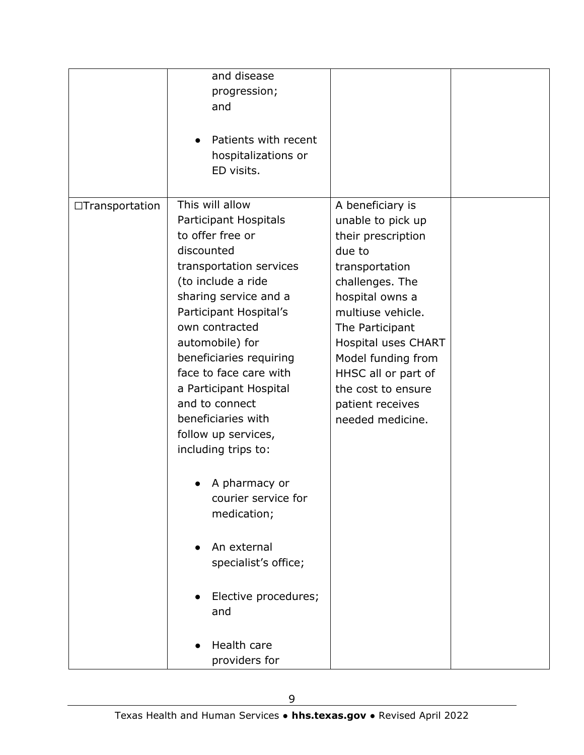|                 | and disease<br>progression;<br>and<br>Patients with recent<br>hospitalizations or                                                                                                                                                                                                                                                                                                                                                                                                                                                                     |                                                                                                                                                                                                                                                                                                                |  |
|-----------------|-------------------------------------------------------------------------------------------------------------------------------------------------------------------------------------------------------------------------------------------------------------------------------------------------------------------------------------------------------------------------------------------------------------------------------------------------------------------------------------------------------------------------------------------------------|----------------------------------------------------------------------------------------------------------------------------------------------------------------------------------------------------------------------------------------------------------------------------------------------------------------|--|
|                 | ED visits.                                                                                                                                                                                                                                                                                                                                                                                                                                                                                                                                            |                                                                                                                                                                                                                                                                                                                |  |
| □Transportation | This will allow<br>Participant Hospitals<br>to offer free or<br>discounted<br>transportation services<br>(to include a ride<br>sharing service and a<br>Participant Hospital's<br>own contracted<br>automobile) for<br>beneficiaries requiring<br>face to face care with<br>a Participant Hospital<br>and to connect<br>beneficiaries with<br>follow up services,<br>including trips to:<br>A pharmacy or<br>courier service for<br>medication;<br>An external<br>specialist's office;<br>Elective procedures;<br>and<br>Health care<br>providers for | A beneficiary is<br>unable to pick up<br>their prescription<br>due to<br>transportation<br>challenges. The<br>hospital owns a<br>multiuse vehicle.<br>The Participant<br><b>Hospital uses CHART</b><br>Model funding from<br>HHSC all or part of<br>the cost to ensure<br>patient receives<br>needed medicine. |  |
|                 |                                                                                                                                                                                                                                                                                                                                                                                                                                                                                                                                                       |                                                                                                                                                                                                                                                                                                                |  |